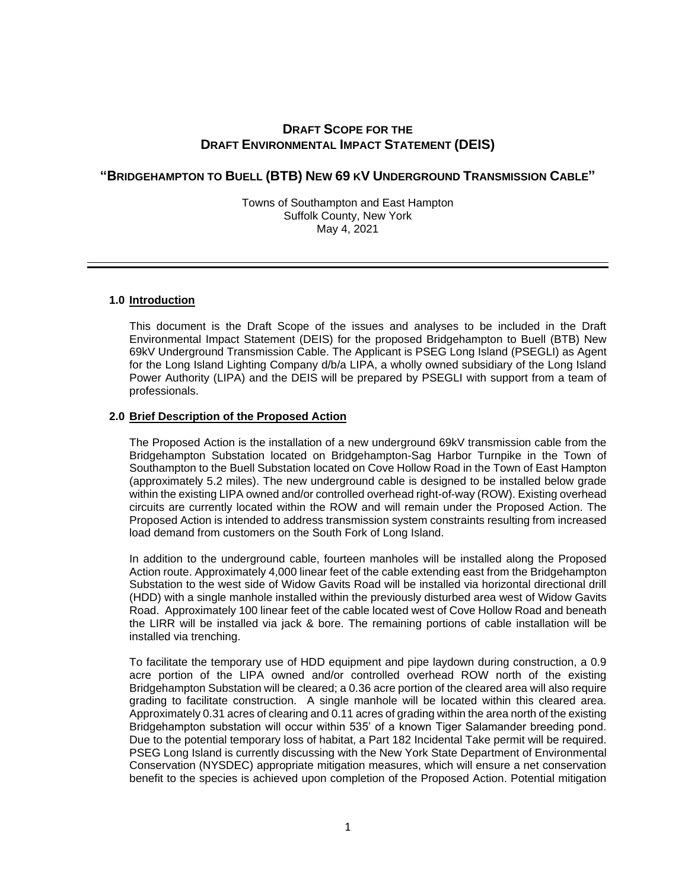# **DRAFT SCOPE FOR THE DRAFT ENVIRONMENTAL IMPACT STATEMENT (DEIS)**

# **"BRIDGEHAMPTON TO BUELL (BTB) NEW 69 KV UNDERGROUND TRANSMISSION CABLE"**

Towns of Southampton and East Hampton Suffolk County, New York May 4, 2021

# **1.0 Introduction**

This document is the Draft Scope of the issues and analyses to be included in the Draft Environmental Impact Statement (DEIS) for the proposed Bridgehampton to Buell (BTB) New 69kV Underground Transmission Cable. The Applicant is PSEG Long Island (PSEGLI) as Agent for the Long Island Lighting Company d/b/a LIPA, a wholly owned subsidiary of the Long Island Power Authority (LIPA) and the DEIS will be prepared by PSEGLI with support from a team of professionals.

### **2.0 Brief Description of the Proposed Action**

The Proposed Action is the installation of a new underground 69kV transmission cable from the Bridgehampton Substation located on Bridgehampton-Sag Harbor Turnpike in the Town of Southampton to the Buell Substation located on Cove Hollow Road in the Town of East Hampton (approximately 5.2 miles). The new underground cable is designed to be installed below grade within the existing LIPA owned and/or controlled overhead right-of-way (ROW). Existing overhead circuits are currently located within the ROW and will remain under the Proposed Action. The Proposed Action is intended to address transmission system constraints resulting from increased load demand from customers on the South Fork of Long Island.

In addition to the underground cable, fourteen manholes will be installed along the Proposed Action route. Approximately 4,000 linear feet of the cable extending east from the Bridgehampton Substation to the west side of Widow Gavits Road will be installed via horizontal directional drill (HDD) with a single manhole installed within the previously disturbed area west of Widow Gavits Road. Approximately 100 linear feet of the cable located west of Cove Hollow Road and beneath the LIRR will be installed via jack & bore. The remaining portions of cable installation will be installed via trenching.

To facilitate the temporary use of HDD equipment and pipe laydown during construction, a 0.9 acre portion of the LIPA owned and/or controlled overhead ROW north of the existing Bridgehampton Substation will be cleared; a 0.36 acre portion of the cleared area will also require grading to facilitate construction. A single manhole will be located within this cleared area. Approximately 0.31 acres of clearing and 0.11 acres of grading within the area north of the existing Bridgehampton substation will occur within 535' of a known Tiger Salamander breeding pond. Due to the potential temporary loss of habitat, a Part 182 Incidental Take permit will be required. PSEG Long Island is currently discussing with the New York State Department of Environmental Conservation (NYSDEC) appropriate mitigation measures, which will ensure a net conservation benefit to the species is achieved upon completion of the Proposed Action. Potential mitigation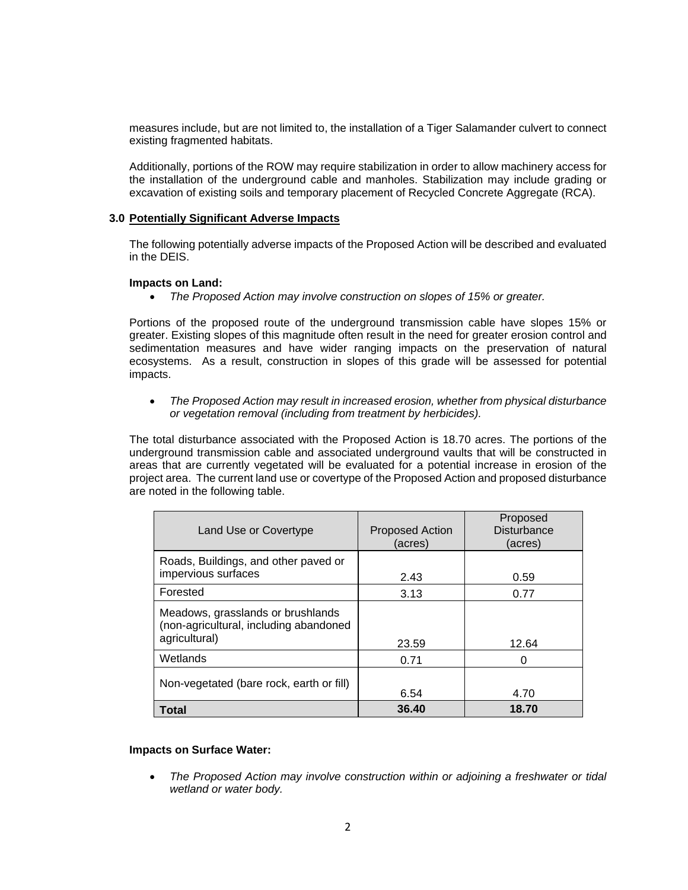measures include, but are not limited to, the installation of a Tiger Salamander culvert to connect existing fragmented habitats.

Additionally, portions of the ROW may require stabilization in order to allow machinery access for the installation of the underground cable and manholes. Stabilization may include grading or excavation of existing soils and temporary placement of Recycled Concrete Aggregate (RCA).

### **3.0 Potentially Significant Adverse Impacts**

The following potentially adverse impacts of the Proposed Action will be described and evaluated in the DEIS.

#### **Impacts on Land:**

*The Proposed Action may involve construction on slopes of 15% or greater.*

Portions of the proposed route of the underground transmission cable have slopes 15% or greater. Existing slopes of this magnitude often result in the need for greater erosion control and sedimentation measures and have wider ranging impacts on the preservation of natural ecosystems. As a result, construction in slopes of this grade will be assessed for potential impacts.

 *The Proposed Action may result in increased erosion, whether from physical disturbance or vegetation removal (including from treatment by herbicides).*

The total disturbance associated with the Proposed Action is 18.70 acres. The portions of the underground transmission cable and associated underground vaults that will be constructed in areas that are currently vegetated will be evaluated for a potential increase in erosion of the project area. The current land use or covertype of the Proposed Action and proposed disturbance are noted in the following table.

| Land Use or Covertype                                                                        | <b>Proposed Action</b><br>(acres) | Proposed<br><b>Disturbance</b><br>(acres) |
|----------------------------------------------------------------------------------------------|-----------------------------------|-------------------------------------------|
| Roads, Buildings, and other paved or<br>impervious surfaces                                  | 2.43                              | 0.59                                      |
| Forested                                                                                     | 3.13                              | 0.77                                      |
| Meadows, grasslands or brushlands<br>(non-agricultural, including abandoned<br>agricultural) | 23.59                             | 12.64                                     |
| Wetlands                                                                                     | 0.71                              | Ω                                         |
| Non-vegetated (bare rock, earth or fill)                                                     | 6.54                              | 4.70                                      |
| Total                                                                                        | 36.40                             | 18.70                                     |

#### **Impacts on Surface Water:**

 *The Proposed Action may involve construction within or adjoining a freshwater or tidal wetland or water body.*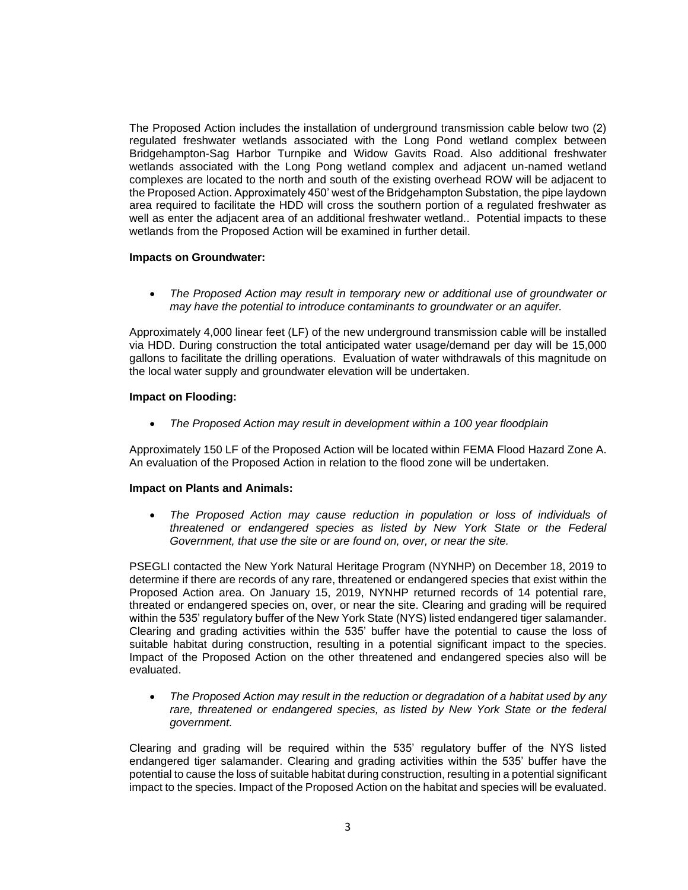The Proposed Action includes the installation of underground transmission cable below two (2) regulated freshwater wetlands associated with the Long Pond wetland complex between Bridgehampton-Sag Harbor Turnpike and Widow Gavits Road. Also additional freshwater wetlands associated with the Long Pong wetland complex and adjacent un-named wetland complexes are located to the north and south of the existing overhead ROW will be adjacent to the Proposed Action. Approximately 450' west of the Bridgehampton Substation, the pipe laydown area required to facilitate the HDD will cross the southern portion of a regulated freshwater as well as enter the adjacent area of an additional freshwater wetland.. Potential impacts to these wetlands from the Proposed Action will be examined in further detail.

# **Impacts on Groundwater:**

 *The Proposed Action may result in temporary new or additional use of groundwater or may have the potential to introduce contaminants to groundwater or an aquifer.*

Approximately 4,000 linear feet (LF) of the new underground transmission cable will be installed via HDD. During construction the total anticipated water usage/demand per day will be 15,000 gallons to facilitate the drilling operations. Evaluation of water withdrawals of this magnitude on the local water supply and groundwater elevation will be undertaken.

# **Impact on Flooding:**

*The Proposed Action may result in development within a 100 year floodplain*

Approximately 150 LF of the Proposed Action will be located within FEMA Flood Hazard Zone A. An evaluation of the Proposed Action in relation to the flood zone will be undertaken.

# **Impact on Plants and Animals:**

 *The Proposed Action may cause reduction in population or loss of individuals of threatened or endangered species as listed by New York State or the Federal Government, that use the site or are found on, over, or near the site.*

PSEGLI contacted the New York Natural Heritage Program (NYNHP) on December 18, 2019 to determine if there are records of any rare, threatened or endangered species that exist within the Proposed Action area. On January 15, 2019, NYNHP returned records of 14 potential rare, threated or endangered species on, over, or near the site. Clearing and grading will be required within the 535' regulatory buffer of the New York State (NYS) listed endangered tiger salamander. Clearing and grading activities within the 535' buffer have the potential to cause the loss of suitable habitat during construction, resulting in a potential significant impact to the species. Impact of the Proposed Action on the other threatened and endangered species also will be evaluated.

 *The Proposed Action may result in the reduction or degradation of a habitat used by any*  rare, threatened or endangered species, as listed by New York State or the federal *government.* 

Clearing and grading will be required within the 535' regulatory buffer of the NYS listed endangered tiger salamander. Clearing and grading activities within the 535' buffer have the potential to cause the loss of suitable habitat during construction, resulting in a potential significant impact to the species. Impact of the Proposed Action on the habitat and species will be evaluated.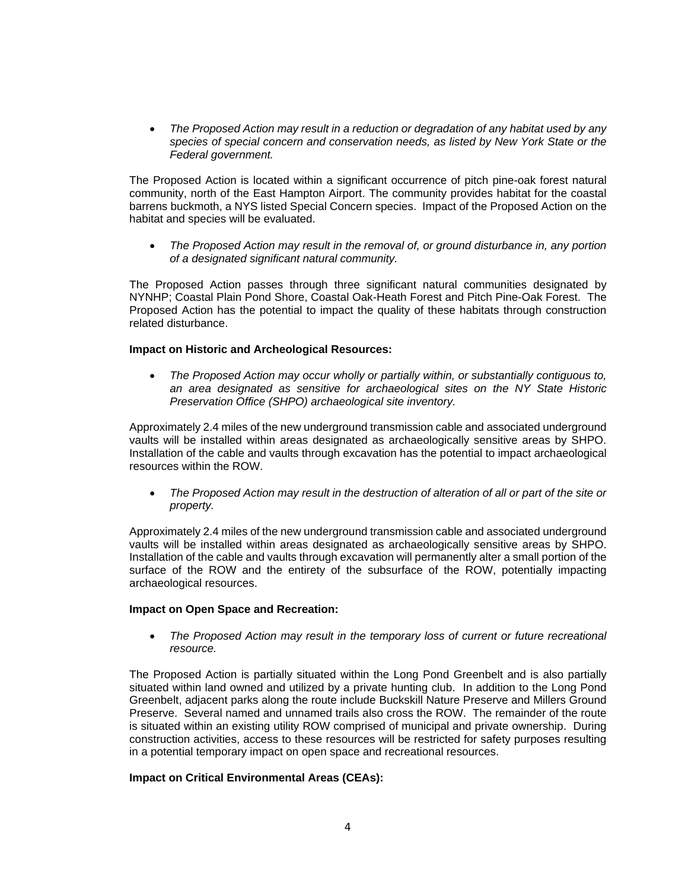*The Proposed Action may result in a reduction or degradation of any habitat used by any species of special concern and conservation needs, as listed by New York State or the Federal government.* 

The Proposed Action is located within a significant occurrence of pitch pine-oak forest natural community, north of the East Hampton Airport. The community provides habitat for the coastal barrens buckmoth, a NYS listed Special Concern species. Impact of the Proposed Action on the habitat and species will be evaluated.

 *The Proposed Action may result in the removal of, or ground disturbance in, any portion of a designated significant natural community.* 

The Proposed Action passes through three significant natural communities designated by NYNHP; Coastal Plain Pond Shore, Coastal Oak-Heath Forest and Pitch Pine-Oak Forest. The Proposed Action has the potential to impact the quality of these habitats through construction related disturbance.

# **Impact on Historic and Archeological Resources:**

 *The Proposed Action may occur wholly or partially within, or substantially contiguous to, an area designated as sensitive for archaeological sites on the NY State Historic Preservation Office (SHPO) archaeological site inventory.*

Approximately 2.4 miles of the new underground transmission cable and associated underground vaults will be installed within areas designated as archaeologically sensitive areas by SHPO. Installation of the cable and vaults through excavation has the potential to impact archaeological resources within the ROW.

 *The Proposed Action may result in the destruction of alteration of all or part of the site or property.*

Approximately 2.4 miles of the new underground transmission cable and associated underground vaults will be installed within areas designated as archaeologically sensitive areas by SHPO. Installation of the cable and vaults through excavation will permanently alter a small portion of the surface of the ROW and the entirety of the subsurface of the ROW, potentially impacting archaeological resources.

# **Impact on Open Space and Recreation:**

 *The Proposed Action may result in the temporary loss of current or future recreational resource.*

The Proposed Action is partially situated within the Long Pond Greenbelt and is also partially situated within land owned and utilized by a private hunting club. In addition to the Long Pond Greenbelt, adjacent parks along the route include Buckskill Nature Preserve and Millers Ground Preserve. Several named and unnamed trails also cross the ROW. The remainder of the route is situated within an existing utility ROW comprised of municipal and private ownership. During construction activities, access to these resources will be restricted for safety purposes resulting in a potential temporary impact on open space and recreational resources.

# **Impact on Critical Environmental Areas (CEAs):**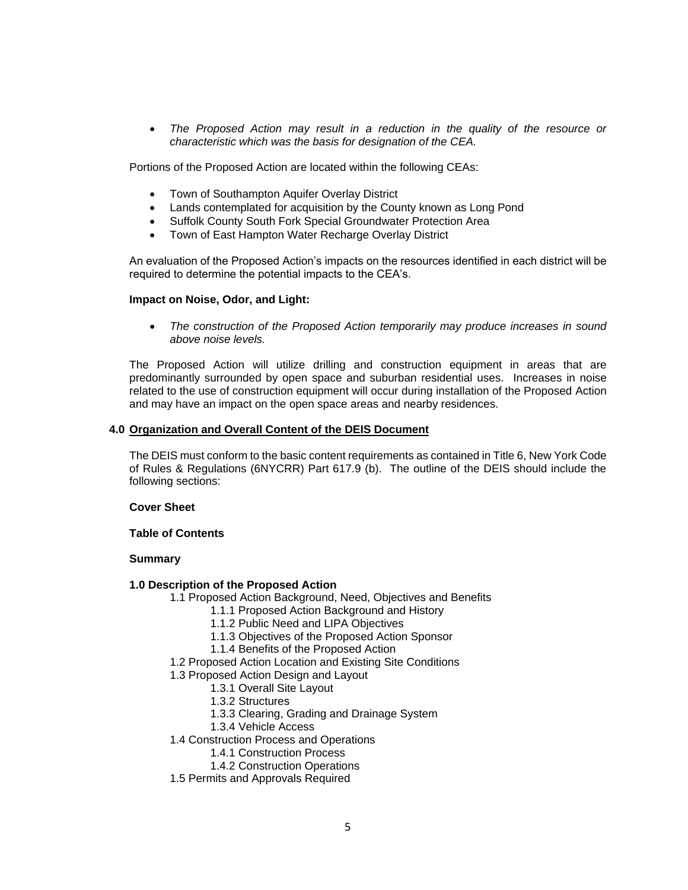*The Proposed Action may result in a reduction in the quality of the resource or characteristic which was the basis for designation of the CEA.*

Portions of the Proposed Action are located within the following CEAs:

- Town of Southampton Aquifer Overlay District
- Lands contemplated for acquisition by the County known as Long Pond
- Suffolk County South Fork Special Groundwater Protection Area
- Town of East Hampton Water Recharge Overlay District

An evaluation of the Proposed Action's impacts on the resources identified in each district will be required to determine the potential impacts to the CEA's.

#### **Impact on Noise, Odor, and Light:**

 *The construction of the Proposed Action temporarily may produce increases in sound above noise levels.*

The Proposed Action will utilize drilling and construction equipment in areas that are predominantly surrounded by open space and suburban residential uses. Increases in noise related to the use of construction equipment will occur during installation of the Proposed Action and may have an impact on the open space areas and nearby residences.

#### **4.0 Organization and Overall Content of the DEIS Document**

The DEIS must conform to the basic content requirements as contained in Title 6, New York Code of Rules & Regulations (6NYCRR) Part 617.9 (b). The outline of the DEIS should include the following sections:

#### **Cover Sheet**

**Table of Contents**

#### **Summary**

#### **1.0 Description of the Proposed Action**

- 1.1 Proposed Action Background, Need, Objectives and Benefits
	- 1.1.1 Proposed Action Background and History
	- 1.1.2 Public Need and LIPA Objectives
	- 1.1.3 Objectives of the Proposed Action Sponsor
	- 1.1.4 Benefits of the Proposed Action
- 1.2 Proposed Action Location and Existing Site Conditions
- 1.3 Proposed Action Design and Layout
	- 1.3.1 Overall Site Layout
	- 1.3.2 Structures
	- 1.3.3 Clearing, Grading and Drainage System
	- 1.3.4 Vehicle Access
- 1.4 Construction Process and Operations
	- 1.4.1 Construction Process
	- 1.4.2 Construction Operations
- 1.5 Permits and Approvals Required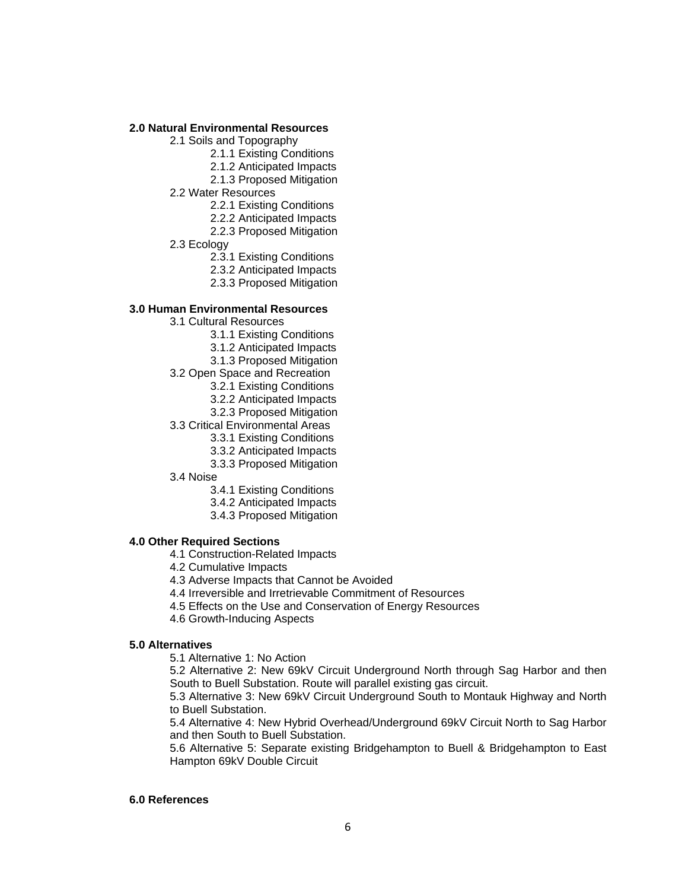#### **2.0 Natural Environmental Resources**

- 2.1 Soils and Topography
	- 2.1.1 Existing Conditions
		- 2.1.2 Anticipated Impacts
		- 2.1.3 Proposed Mitigation
- 2.2 Water Resources
	- 2.2.1 Existing Conditions
	- 2.2.2 Anticipated Impacts
	- 2.2.3 Proposed Mitigation
- 2.3 Ecology
	- 2.3.1 Existing Conditions
	- 2.3.2 Anticipated Impacts
	- 2.3.3 Proposed Mitigation

#### **3.0 Human Environmental Resources**

- 3.1 Cultural Resources
	- 3.1.1 Existing Conditions
		- 3.1.2 Anticipated Impacts
		- 3.1.3 Proposed Mitigation
- 3.2 Open Space and Recreation
	- 3.2.1 Existing Conditions
	- 3.2.2 Anticipated Impacts
	- 3.2.3 Proposed Mitigation
- 3.3 Critical Environmental Areas
	- 3.3.1 Existing Conditions
		- 3.3.2 Anticipated Impacts
		- 3.3.3 Proposed Mitigation
- 3.4 Noise
	- 3.4.1 Existing Conditions
	- 3.4.2 Anticipated Impacts
	- 3.4.3 Proposed Mitigation

### **4.0 Other Required Sections**

- 4.1 Construction-Related Impacts
- 4.2 Cumulative Impacts
- 4.3 Adverse Impacts that Cannot be Avoided
- 4.4 Irreversible and Irretrievable Commitment of Resources
- 4.5 Effects on the Use and Conservation of Energy Resources
- 4.6 Growth-Inducing Aspects

### **5.0 Alternatives**

5.1 Alternative 1: No Action

5.2 Alternative 2: New 69kV Circuit Underground North through Sag Harbor and then South to Buell Substation. Route will parallel existing gas circuit.

5.3 Alternative 3: New 69kV Circuit Underground South to Montauk Highway and North to Buell Substation.

5.4 Alternative 4: New Hybrid Overhead/Underground 69kV Circuit North to Sag Harbor and then South to Buell Substation.

5.6 Alternative 5: Separate existing Bridgehampton to Buell & Bridgehampton to East Hampton 69kV Double Circuit

### **6.0 References**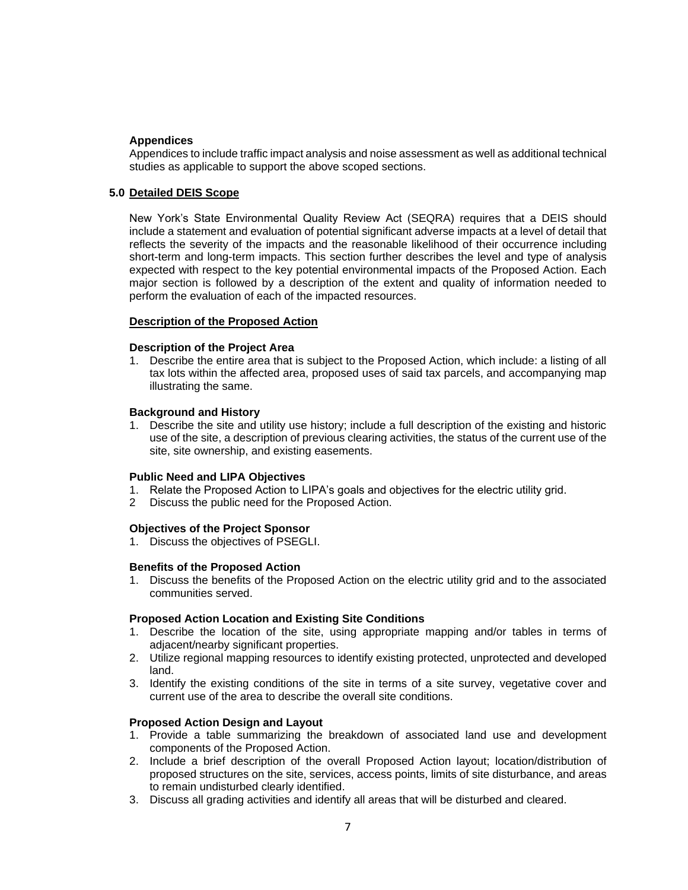### **Appendices**

Appendices to include traffic impact analysis and noise assessment as well as additional technical studies as applicable to support the above scoped sections.

### **5.0 Detailed DEIS Scope**

New York's State Environmental Quality Review Act (SEQRA) requires that a DEIS should include a statement and evaluation of potential significant adverse impacts at a level of detail that reflects the severity of the impacts and the reasonable likelihood of their occurrence including short-term and long-term impacts. This section further describes the level and type of analysis expected with respect to the key potential environmental impacts of the Proposed Action. Each major section is followed by a description of the extent and quality of information needed to perform the evaluation of each of the impacted resources.

### **Description of the Proposed Action**

### **Description of the Project Area**

1. Describe the entire area that is subject to the Proposed Action, which include: a listing of all tax lots within the affected area, proposed uses of said tax parcels, and accompanying map illustrating the same.

#### **Background and History**

1. Describe the site and utility use history; include a full description of the existing and historic use of the site, a description of previous clearing activities, the status of the current use of the site, site ownership, and existing easements.

#### **Public Need and LIPA Objectives**

- 1. Relate the Proposed Action to LIPA's goals and objectives for the electric utility grid.
- 2 Discuss the public need for the Proposed Action.

#### **Objectives of the Project Sponsor**

1. Discuss the objectives of PSEGLI.

#### **Benefits of the Proposed Action**

1. Discuss the benefits of the Proposed Action on the electric utility grid and to the associated communities served.

# **Proposed Action Location and Existing Site Conditions**

- 1. Describe the location of the site, using appropriate mapping and/or tables in terms of adjacent/nearby significant properties.
- 2. Utilize regional mapping resources to identify existing protected, unprotected and developed land.
- 3. Identify the existing conditions of the site in terms of a site survey, vegetative cover and current use of the area to describe the overall site conditions.

#### **Proposed Action Design and Layout**

- 1. Provide a table summarizing the breakdown of associated land use and development components of the Proposed Action.
- 2. Include a brief description of the overall Proposed Action layout; location/distribution of proposed structures on the site, services, access points, limits of site disturbance, and areas to remain undisturbed clearly identified.
- 3. Discuss all grading activities and identify all areas that will be disturbed and cleared.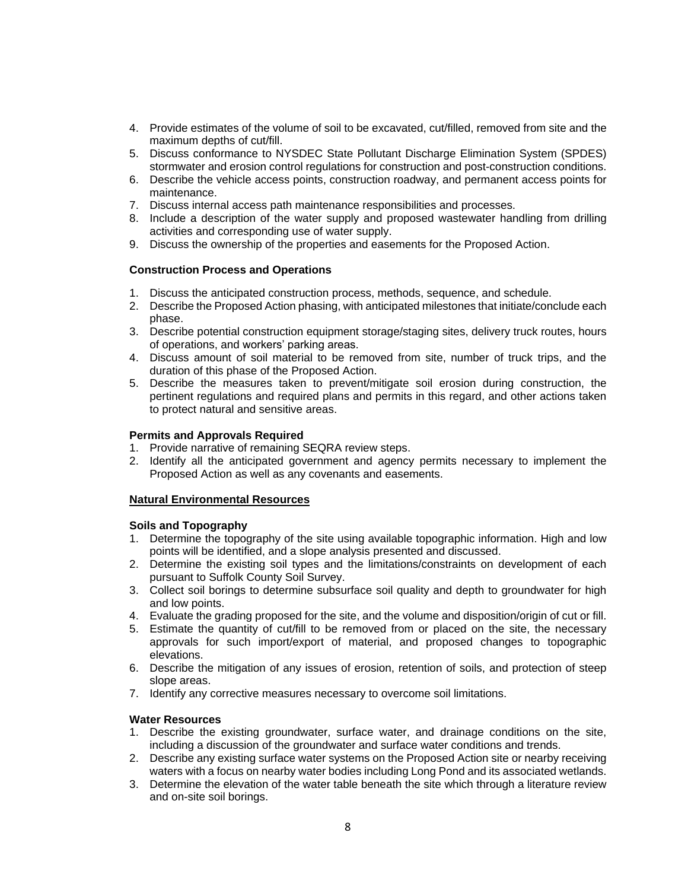- 4. Provide estimates of the volume of soil to be excavated, cut/filled, removed from site and the maximum depths of cut/fill.
- 5. Discuss conformance to NYSDEC State Pollutant Discharge Elimination System (SPDES) stormwater and erosion control regulations for construction and post-construction conditions.
- 6. Describe the vehicle access points, construction roadway, and permanent access points for maintenance.
- 7. Discuss internal access path maintenance responsibilities and processes.
- 8. Include a description of the water supply and proposed wastewater handling from drilling activities and corresponding use of water supply.
- 9. Discuss the ownership of the properties and easements for the Proposed Action.

# **Construction Process and Operations**

- 1. Discuss the anticipated construction process, methods, sequence, and schedule.
- 2. Describe the Proposed Action phasing, with anticipated milestones that initiate/conclude each phase.
- 3. Describe potential construction equipment storage/staging sites, delivery truck routes, hours of operations, and workers' parking areas.
- 4. Discuss amount of soil material to be removed from site, number of truck trips, and the duration of this phase of the Proposed Action.
- 5. Describe the measures taken to prevent/mitigate soil erosion during construction, the pertinent regulations and required plans and permits in this regard, and other actions taken to protect natural and sensitive areas.

# **Permits and Approvals Required**

- 1. Provide narrative of remaining SEQRA review steps.
- 2. Identify all the anticipated government and agency permits necessary to implement the Proposed Action as well as any covenants and easements.

# **Natural Environmental Resources**

# **Soils and Topography**

- 1. Determine the topography of the site using available topographic information. High and low points will be identified, and a slope analysis presented and discussed.
- 2. Determine the existing soil types and the limitations/constraints on development of each pursuant to Suffolk County Soil Survey.
- 3. Collect soil borings to determine subsurface soil quality and depth to groundwater for high and low points.
- 4. Evaluate the grading proposed for the site, and the volume and disposition/origin of cut or fill.
- 5. Estimate the quantity of cut/fill to be removed from or placed on the site, the necessary approvals for such import/export of material, and proposed changes to topographic elevations.
- 6. Describe the mitigation of any issues of erosion, retention of soils, and protection of steep slope areas.
- 7. Identify any corrective measures necessary to overcome soil limitations.

# **Water Resources**

- 1. Describe the existing groundwater, surface water, and drainage conditions on the site, including a discussion of the groundwater and surface water conditions and trends.
- 2. Describe any existing surface water systems on the Proposed Action site or nearby receiving waters with a focus on nearby water bodies including Long Pond and its associated wetlands.
- 3. Determine the elevation of the water table beneath the site which through a literature review and on-site soil borings.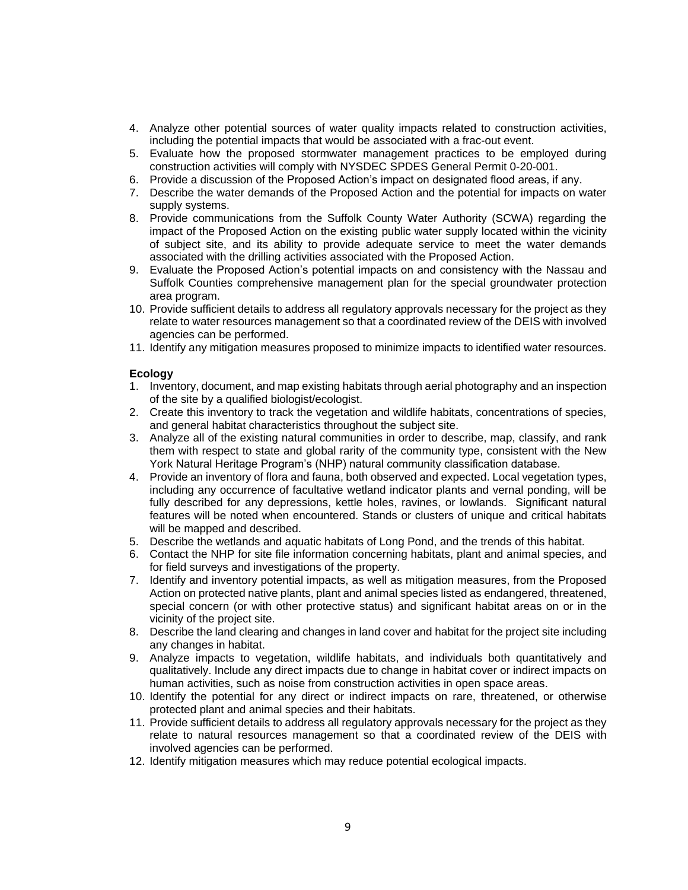- 4. Analyze other potential sources of water quality impacts related to construction activities, including the potential impacts that would be associated with a frac-out event.
- 5. Evaluate how the proposed stormwater management practices to be employed during construction activities will comply with NYSDEC SPDES General Permit 0-20-001.
- 6. Provide a discussion of the Proposed Action's impact on designated flood areas, if any.
- 7. Describe the water demands of the Proposed Action and the potential for impacts on water supply systems.
- 8. Provide communications from the Suffolk County Water Authority (SCWA) regarding the impact of the Proposed Action on the existing public water supply located within the vicinity of subject site, and its ability to provide adequate service to meet the water demands associated with the drilling activities associated with the Proposed Action.
- 9. Evaluate the Proposed Action's potential impacts on and consistency with the Nassau and Suffolk Counties comprehensive management plan for the special groundwater protection area program.
- 10. Provide sufficient details to address all regulatory approvals necessary for the project as they relate to water resources management so that a coordinated review of the DEIS with involved agencies can be performed.
- 11. Identify any mitigation measures proposed to minimize impacts to identified water resources.

# **Ecology**

- 1. Inventory, document, and map existing habitats through aerial photography and an inspection of the site by a qualified biologist/ecologist.
- 2. Create this inventory to track the vegetation and wildlife habitats, concentrations of species, and general habitat characteristics throughout the subject site.
- 3. Analyze all of the existing natural communities in order to describe, map, classify, and rank them with respect to state and global rarity of the community type, consistent with the New York Natural Heritage Program's (NHP) natural community classification database.
- 4. Provide an inventory of flora and fauna, both observed and expected. Local vegetation types, including any occurrence of facultative wetland indicator plants and vernal ponding, will be fully described for any depressions, kettle holes, ravines, or lowlands. Significant natural features will be noted when encountered. Stands or clusters of unique and critical habitats will be mapped and described.
- 5. Describe the wetlands and aquatic habitats of Long Pond, and the trends of this habitat.
- 6. Contact the NHP for site file information concerning habitats, plant and animal species, and for field surveys and investigations of the property.
- 7. Identify and inventory potential impacts, as well as mitigation measures, from the Proposed Action on protected native plants, plant and animal species listed as endangered, threatened, special concern (or with other protective status) and significant habitat areas on or in the vicinity of the project site.
- 8. Describe the land clearing and changes in land cover and habitat for the project site including any changes in habitat.
- 9. Analyze impacts to vegetation, wildlife habitats, and individuals both quantitatively and qualitatively. Include any direct impacts due to change in habitat cover or indirect impacts on human activities, such as noise from construction activities in open space areas.
- 10. Identify the potential for any direct or indirect impacts on rare, threatened, or otherwise protected plant and animal species and their habitats.
- 11. Provide sufficient details to address all regulatory approvals necessary for the project as they relate to natural resources management so that a coordinated review of the DEIS with involved agencies can be performed.
- 12. Identify mitigation measures which may reduce potential ecological impacts.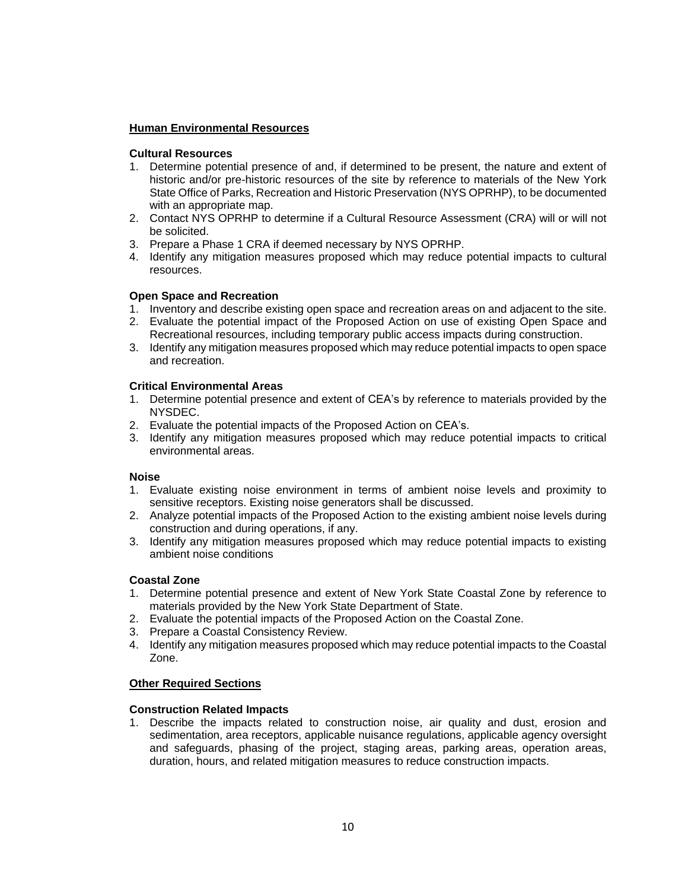# **Human Environmental Resources**

# **Cultural Resources**

- 1. Determine potential presence of and, if determined to be present, the nature and extent of historic and/or pre-historic resources of the site by reference to materials of the New York State Office of Parks, Recreation and Historic Preservation (NYS OPRHP), to be documented with an appropriate map.
- 2. Contact NYS OPRHP to determine if a Cultural Resource Assessment (CRA) will or will not be solicited.
- 3. Prepare a Phase 1 CRA if deemed necessary by NYS OPRHP.
- 4. Identify any mitigation measures proposed which may reduce potential impacts to cultural resources.

# **Open Space and Recreation**

- 1. Inventory and describe existing open space and recreation areas on and adjacent to the site.
- 2. Evaluate the potential impact of the Proposed Action on use of existing Open Space and Recreational resources, including temporary public access impacts during construction.
- 3. Identify any mitigation measures proposed which may reduce potential impacts to open space and recreation.

# **Critical Environmental Areas**

- 1. Determine potential presence and extent of CEA's by reference to materials provided by the NYSDEC.
- 2. Evaluate the potential impacts of the Proposed Action on CEA's.
- 3. Identify any mitigation measures proposed which may reduce potential impacts to critical environmental areas.

# **Noise**

- 1. Evaluate existing noise environment in terms of ambient noise levels and proximity to sensitive receptors. Existing noise generators shall be discussed.
- 2. Analyze potential impacts of the Proposed Action to the existing ambient noise levels during construction and during operations, if any.
- 3. Identify any mitigation measures proposed which may reduce potential impacts to existing ambient noise conditions

# **Coastal Zone**

- 1. Determine potential presence and extent of New York State Coastal Zone by reference to materials provided by the New York State Department of State.
- 2. Evaluate the potential impacts of the Proposed Action on the Coastal Zone.
- 3. Prepare a Coastal Consistency Review.
- 4. Identify any mitigation measures proposed which may reduce potential impacts to the Coastal Zone.

# **Other Required Sections**

# **Construction Related Impacts**

1. Describe the impacts related to construction noise, air quality and dust, erosion and sedimentation, area receptors, applicable nuisance regulations, applicable agency oversight and safeguards, phasing of the project, staging areas, parking areas, operation areas, duration, hours, and related mitigation measures to reduce construction impacts.